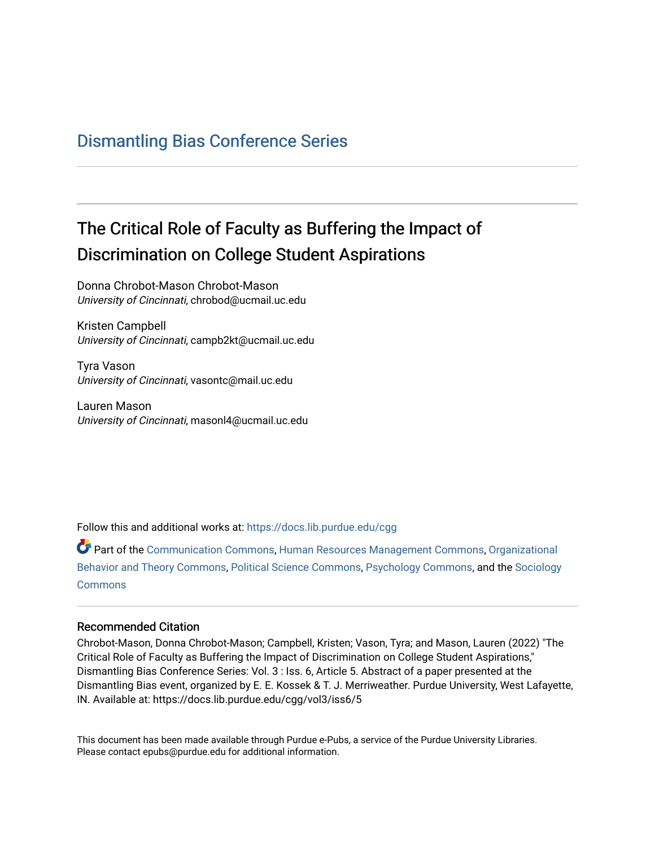## [Dismantling Bias Conference Series](https://docs.lib.purdue.edu/cgg)

## The Critical Role of Faculty as Buffering the Impact of Discrimination on College Student Aspirations

Donna Chrobot-Mason Chrobot-Mason University of Cincinnati, chrobod@ucmail.uc.edu

Kristen Campbell University of Cincinnati, campb2kt@ucmail.uc.edu

Tyra Vason University of Cincinnati, vasontc@mail.uc.edu

Lauren Mason University of Cincinnati, masonl4@ucmail.uc.edu

Follow this and additional works at: [https://docs.lib.purdue.edu/cgg](https://docs.lib.purdue.edu/cgg?utm_source=docs.lib.purdue.edu%2Fcgg%2Fvol3%2Fiss6%2F5&utm_medium=PDF&utm_campaign=PDFCoverPages)

Part of the [Communication Commons,](https://network.bepress.com/hgg/discipline/325?utm_source=docs.lib.purdue.edu%2Fcgg%2Fvol3%2Fiss6%2F5&utm_medium=PDF&utm_campaign=PDFCoverPages) [Human Resources Management Commons,](https://network.bepress.com/hgg/discipline/633?utm_source=docs.lib.purdue.edu%2Fcgg%2Fvol3%2Fiss6%2F5&utm_medium=PDF&utm_campaign=PDFCoverPages) [Organizational](https://network.bepress.com/hgg/discipline/639?utm_source=docs.lib.purdue.edu%2Fcgg%2Fvol3%2Fiss6%2F5&utm_medium=PDF&utm_campaign=PDFCoverPages) [Behavior and Theory Commons,](https://network.bepress.com/hgg/discipline/639?utm_source=docs.lib.purdue.edu%2Fcgg%2Fvol3%2Fiss6%2F5&utm_medium=PDF&utm_campaign=PDFCoverPages) [Political Science Commons,](https://network.bepress.com/hgg/discipline/386?utm_source=docs.lib.purdue.edu%2Fcgg%2Fvol3%2Fiss6%2F5&utm_medium=PDF&utm_campaign=PDFCoverPages) [Psychology Commons,](https://network.bepress.com/hgg/discipline/404?utm_source=docs.lib.purdue.edu%2Fcgg%2Fvol3%2Fiss6%2F5&utm_medium=PDF&utm_campaign=PDFCoverPages) and the [Sociology](https://network.bepress.com/hgg/discipline/416?utm_source=docs.lib.purdue.edu%2Fcgg%2Fvol3%2Fiss6%2F5&utm_medium=PDF&utm_campaign=PDFCoverPages) **[Commons](https://network.bepress.com/hgg/discipline/416?utm_source=docs.lib.purdue.edu%2Fcgg%2Fvol3%2Fiss6%2F5&utm_medium=PDF&utm_campaign=PDFCoverPages)** 

## Recommended Citation

Chrobot-Mason, Donna Chrobot-Mason; Campbell, Kristen; Vason, Tyra; and Mason, Lauren (2022) "The Critical Role of Faculty as Buffering the Impact of Discrimination on College Student Aspirations," Dismantling Bias Conference Series: Vol. 3 : Iss. 6, Article 5. Abstract of a paper presented at the Dismantling Bias event, organized by E. E. Kossek & T. J. Merriweather. Purdue University, West Lafayette, IN. Available at: https://docs.lib.purdue.edu/cgg/vol3/iss6/5

This document has been made available through Purdue e-Pubs, a service of the Purdue University Libraries. Please contact epubs@purdue.edu for additional information.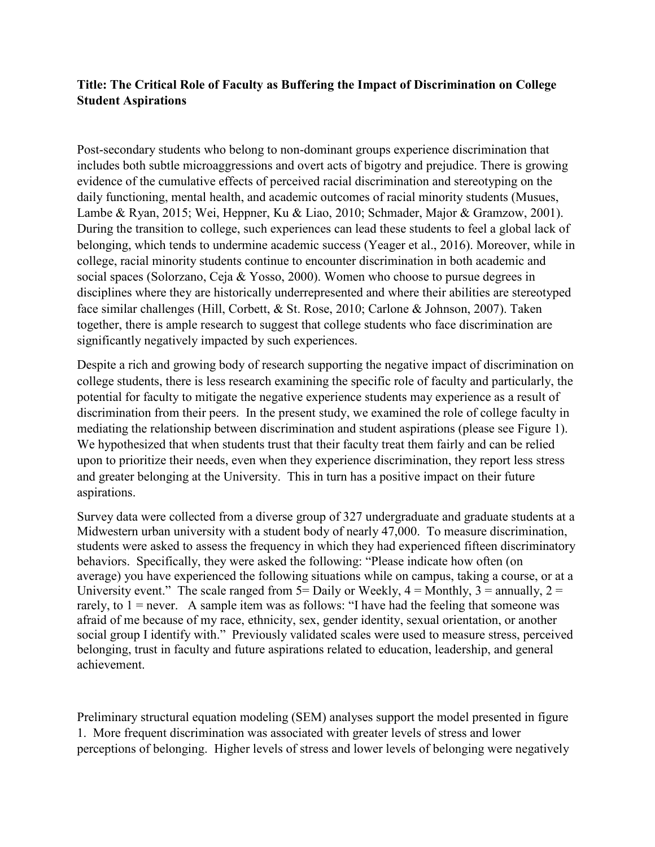## **Title: The Critical Role of Faculty as Buffering the Impact of Discrimination on College Student Aspirations**

 includes both subtle microaggressions and overt acts of bigotry and prejudice. There is growing face similar challenges (Hill, Corbett, & St. Rose, 2010; Carlone & Johnson, 2007). Taken significantly negatively impacted by such experiences. Post-secondary students who belong to non-dominant groups experience discrimination that evidence of the cumulative effects of perceived racial discrimination and stereotyping on the daily functioning, mental health, and academic outcomes of racial minority students (Musues, Lambe & Ryan, 2015; Wei, Heppner, Ku & Liao, 2010; Schmader, Major & Gramzow, 2001). During the transition to college, such experiences can lead these students to feel a global lack of belonging, which tends to undermine academic success (Yeager et al., 2016). Moreover, while in college, racial minority students continue to encounter discrimination in both academic and social spaces (Solorzano, Ceja & Yosso, 2000). Women who choose to pursue degrees in disciplines where they are historically underrepresented and where their abilities are stereotyped together, there is ample research to suggest that college students who face discrimination are

 potential for faculty to mitigate the negative experience students may experience as a result of discrimination from their peers. In the present study, we examined the role of college faculty in Despite a rich and growing body of research supporting the negative impact of discrimination on college students, there is less research examining the specific role of faculty and particularly, the mediating the relationship between discrimination and student aspirations (please see Figure 1). We hypothesized that when students trust that their faculty treat them fairly and can be relied upon to prioritize their needs, even when they experience discrimination, they report less stress and greater belonging at the University. This in turn has a positive impact on their future aspirations.

 Survey data were collected from a diverse group of 327 undergraduate and graduate students at a Midwestern urban university with a student body of nearly 47,000. To measure discrimination, University event." The scale ranged from  $5=$  Daily or Weekly,  $4=$  Monthly,  $3=$  annually,  $2=$ rarely, to 1 = never. A sample item was as follows: "I have had the feeling that someone was belonging, trust in faculty and future aspirations related to education, leadership, and general achievement. students were asked to assess the frequency in which they had experienced fifteen discriminatory behaviors. Specifically, they were asked the following: "Please indicate how often (on average) you have experienced the following situations while on campus, taking a course, or at a afraid of me because of my race, ethnicity, sex, gender identity, sexual orientation, or another social group I identify with." Previously validated scales were used to measure stress, perceived

Preliminary structural equation modeling (SEM) analyses support the model presented in figure 1. More frequent discrimination was associated with greater levels of stress and lower perceptions of belonging. Higher levels of stress and lower levels of belonging were negatively